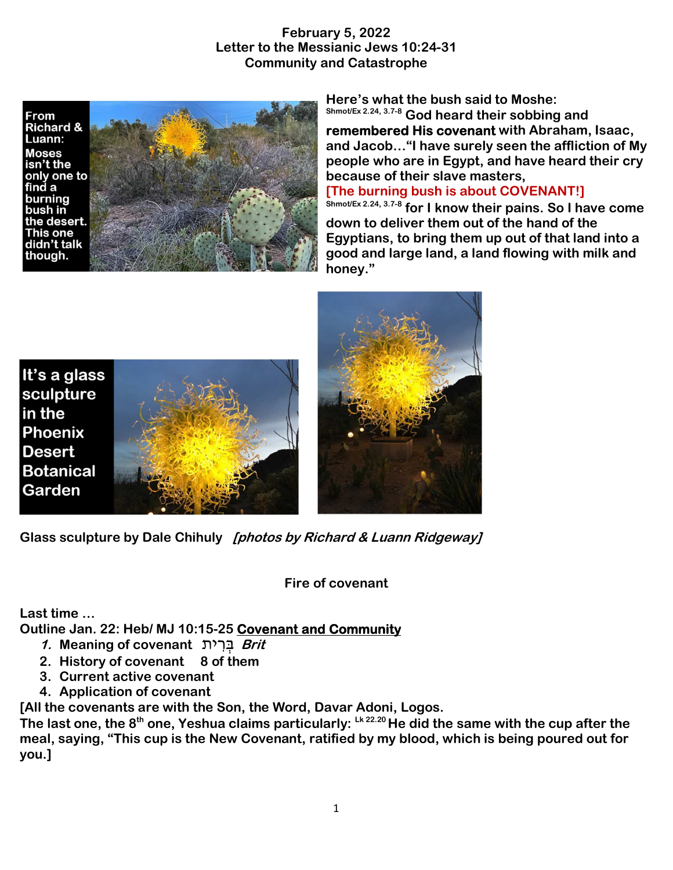#### **February 5, 2022 Letter to the Messianic Jews 10:24-31 Community and Catastrophe**





**Here's what the bush said to Moshe: Shmot/Ex 2.24, 3.7-8 God heard their sobbing and** 

**remembered His covenant with Abraham, Isaac, and Jacob…"I have surely seen the affliction of My people who are in Egypt, and have heard their cry because of their slave masters,** 

#### **[The burning bush is about COVENANT!]**

**Shmot/Ex 2.24, 3.7-8 for I know their pains. So I have come down to deliver them out of the hand of the Egyptians, to bring them up out of that land into a good and large land, a land flowing with milk and honey."** 







**Glass sculpture by Dale Chihuly [photos by Richard & Luann Ridgeway]** 

**Fire of covenant** 

**Last time …** 

**Outline Jan. 22: Heb/ MJ 10:15-25 Covenant and Community**

- **1. Meaning of covenant** ית ִר ְבּ **Brit**
- **2. History of covenant 8 of them**
- **3. Current active covenant**
- **4. Application of covenant**

**[All the covenants are with the Son, the Word, Davar Adoni, Logos.** 

**The last one, the 8th one, Yeshua claims particularly: Lk 22.20 He did the same with the cup after the meal, saying, "This cup is the New Covenant, ratified by my blood, which is being poured out for you.]**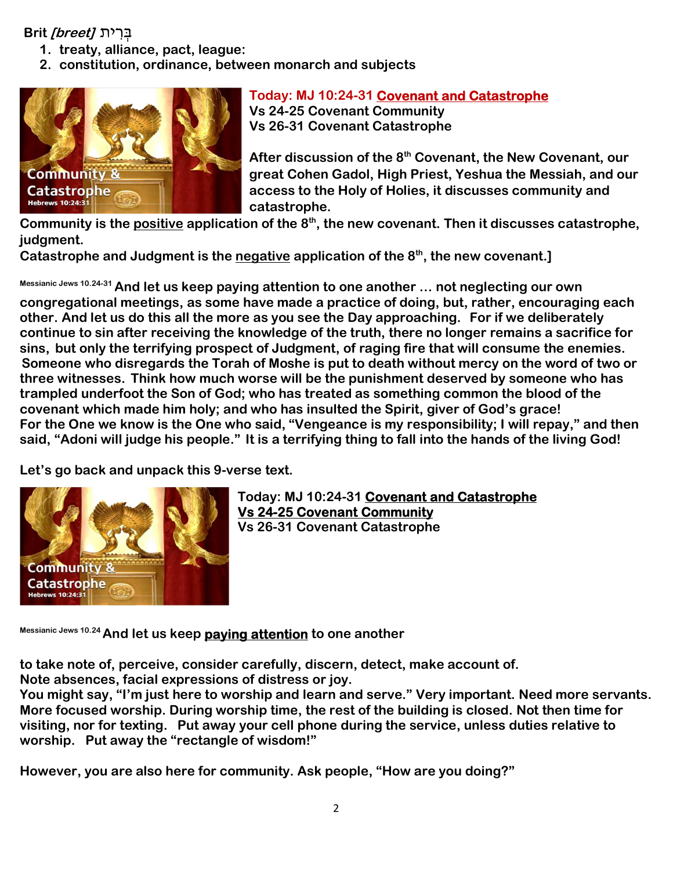### בְּ רִ ית **[breet [Brit**

- **1. treaty, alliance, pact, league:**
- **2. constitution, ordinance, between monarch and subjects**



**Today: MJ 10:24-31 Covenant and Catastrophe Vs 24-25 Covenant Community Vs 26-31 Covenant Catastrophe** 

**After discussion of the 8th Covenant, the New Covenant, our great Cohen Gadol, High Priest, Yeshua the Messiah, and our access to the Holy of Holies, it discusses community and catastrophe.** 

**Community is the positive application of the 8th, the new covenant. Then it discusses catastrophe, judgment.**

**Catastrophe and Judgment is the negative application of the 8th, the new covenant.]** 

**Messianic Jews 10.24-31 And let us keep paying attention to one another … not neglecting our own congregational meetings, as some have made a practice of doing, but, rather, encouraging each other. And let us do this all the more as you see the Day approaching. For if we deliberately continue to sin after receiving the knowledge of the truth, there no longer remains a sacrifice for sins, but only the terrifying prospect of Judgment, of raging fire that will consume the enemies. Someone who disregards the Torah of Moshe is put to death without mercy on the word of two or three witnesses. Think how much worse will be the punishment deserved by someone who has trampled underfoot the Son of God; who has treated as something common the blood of the covenant which made him holy; and who has insulted the Spirit, giver of God's grace! For the One we know is the One who said, "Vengeance is my responsibility; I will repay," and then said, "Adoni will judge his people." It is a terrifying thing to fall into the hands of the living God!** 

**Let's go back and unpack this 9-verse text.** 



**Today: MJ 10:24-31 Covenant and Catastrophe Vs 24-25 Covenant Community Vs 26-31 Covenant Catastrophe** 

**Messianic Jews 10.24 And let us keep paying attention to one another** 

**to take note of, perceive, consider carefully, discern, detect, make account of. Note absences, facial expressions of distress or joy.** 

**You might say, "I'm just here to worship and learn and serve." Very important. Need more servants. More focused worship. During worship time, the rest of the building is closed. Not then time for visiting, nor for texting. Put away your cell phone during the service, unless duties relative to worship. Put away the "rectangle of wisdom!"** 

**However, you are also here for community. Ask people, "How are you doing?"**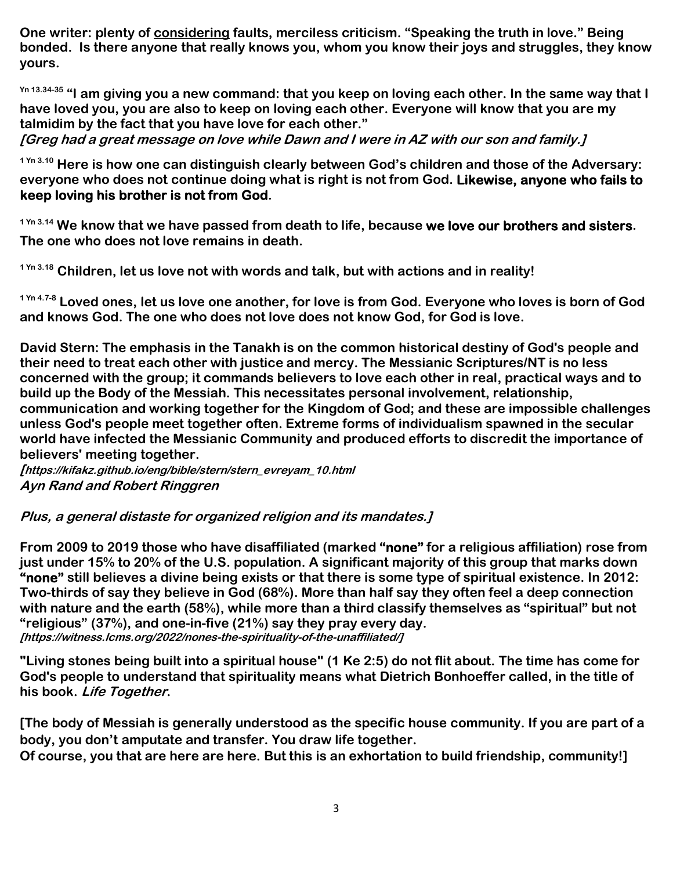**One writer: plenty of considering faults, merciless criticism. "Speaking the truth in love." Being bonded. Is there anyone that really knows you, whom you know their joys and struggles, they know yours.** 

**Yn 13.34-35 "I am giving you a new command: that you keep on loving each other. In the same way that I have loved you, you are also to keep on loving each other. Everyone will know that you are my talmidim by the fact that you have love for each other."** 

**[Greg had a great message on love while Dawn and I were in AZ with our son and family.]** 

**1 Yn 3.10 Here is how one can distinguish clearly between God's children and those of the Adversary: everyone who does not continue doing what is right is not from God. Likewise, anyone who fails to keep loving his brother is not from God.** 

**1 Yn 3.14 We know that we have passed from death to life, because we love our brothers and sisters. The one who does not love remains in death.** 

**1 Yn 3.18 Children, let us love not with words and talk, but with actions and in reality!** 

**1 Yn 4.7-8 Loved ones, let us love one another, for love is from God. Everyone who loves is born of God and knows God. The one who does not love does not know God, for God is love.** 

**David Stern: The emphasis in the Tanakh is on the common historical destiny of God's people and their need to treat each other with justice and mercy. The Messianic Scriptures/NT is no less concerned with the group; it commands believers to love each other in real, practical ways and to build up the Body of the Messiah. This necessitates personal involvement, relationship, communication and working together for the Kingdom of God; and these are impossible challenges unless God's people meet together often. Extreme forms of individualism spawned in the secular world have infected the Messianic Community and produced efforts to discredit the importance of believers' meeting together.** 

**[https://kifakz.github.io/eng/bible/stern/stern\_evreyam\_10.html Ayn Rand and Robert Ringgren** 

**Plus, a general distaste for organized religion and its mandates.]** 

**From 2009 to 2019 those who have disaffiliated (marked "none" for a religious affiliation) rose from just under 15% to 20% of the U.S. population. A significant majority of this group that marks down "none" still believes a divine being exists or that there is some type of spiritual existence. In 2012: Two-thirds of say they believe in God (68%). More than half say they often feel a deep connection with nature and the earth (58%), while more than a third classify themselves as "spiritual" but not "religious" (37%), and one-in-five (21%) say they pray every day. [https://witness.lcms.org/2022/nones-the-spirituality-of-the-unaffiliated/]** 

**"Living stones being built into a spiritual house" (1 Ke 2:5) do not flit about. The time has come for God's people to understand that spirituality means what Dietrich Bonhoeffer called, in the title of his book. Life Together.** 

**[The body of Messiah is generally understood as the specific house community. If you are part of a body, you don't amputate and transfer. You draw life together.** 

**Of course, you that are here are here. But this is an exhortation to build friendship, community!]**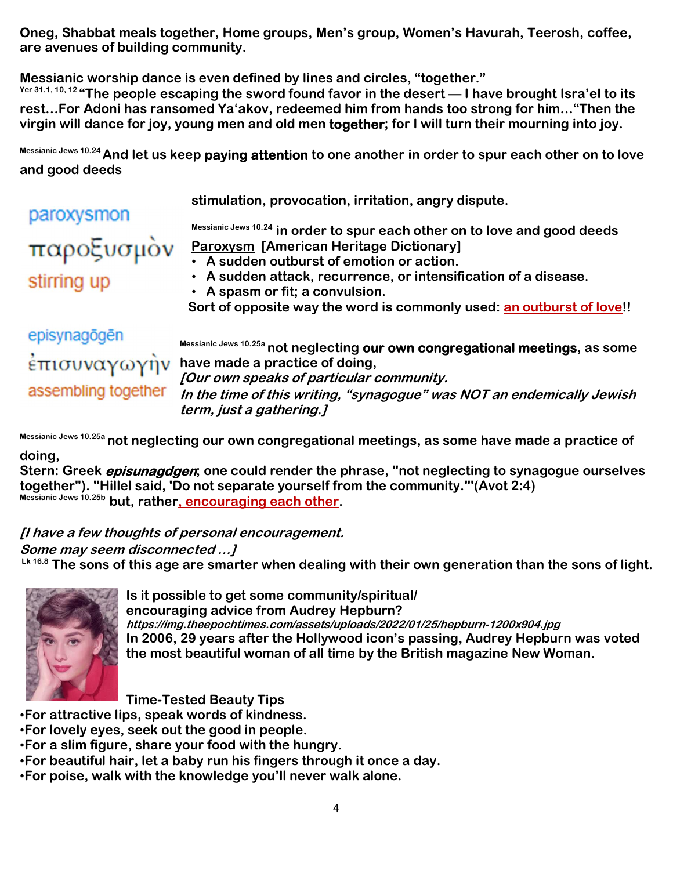**Oneg, Shabbat meals together, Home groups, Men's group, Women's Havurah, Teerosh, coffee, are avenues of building community.** 

**Messianic worship dance is even defined by lines and circles, "together."** 

**Yer 31.1, 10, 12 "The people escaping the sword found favor in the desert — I have brought Isra'el to its rest…For Adoni has ransomed Ya'akov, redeemed him from hands too strong for him…"Then the virgin will dance for joy, young men and old men together; for I will turn their mourning into joy.** 

**Messianic Jews 10.24 And let us keep paying attention to one another in order to spur each other on to love and good deeds** 

**stimulation, provocation, irritation, angry dispute.** 

**Messianic Jews 10.24 in order to spur each other on to love and good deeds Paroxysm [American Heritage Dictionary]** 

• **A sudden outburst of emotion or action.** 

stirring up

paroxysmon

• **A sudden attack, recurrence, or intensification of a disease.**  • **A spasm or fit; a convulsion.** 

 **Sort of opposite way the word is commonly used: an outburst of love!!** 

episynagögen assembling together

παροξυσμον

**Messianic Jews 10.25a not neglecting our own congregational meetings, as some**   $\frac{1}{2}$ **have made a practice of doing, [Our own speaks of particular community. In the time of this writing, "synagogue" was NOT an endemically Jewish term, just a gathering.]** 

**Messianic Jews 10.25a not neglecting our own congregational meetings, as some have made a practice of doing,** 

**Stern: Greek episunagdgen; one could render the phrase, "not neglecting to synagogue ourselves together"). "Hillel said, 'Do not separate yourself from the community."'(Avot 2:4) Messianic Jews 10.25b but, rather, encouraging each other.** 

## **[I have a few thoughts of personal encouragement.**

## **Some may seem disconnected …]**

 **Lk 16.8 The sons of this age are smarter when dealing with their own generation than the sons of light.** 



**Is it possible to get some community/spiritual/ encouraging advice from Audrey Hepburn? https://img.theepochtimes.com/assets/uploads/2022/01/25/hepburn-1200x904.jpg In 2006, 29 years after the Hollywood icon's passing, Audrey Hepburn was voted the most beautiful woman of all time by the British magazine New Woman.** 

**Time-Tested Beauty Tips** 

•**For attractive lips, speak words of kindness.** 

- •**For lovely eyes, seek out the good in people.**
- •**For a slim figure, share your food with the hungry.**
- •**For beautiful hair, let a baby run his fingers through it once a day.**
- •**For poise, walk with the knowledge you'll never walk alone.**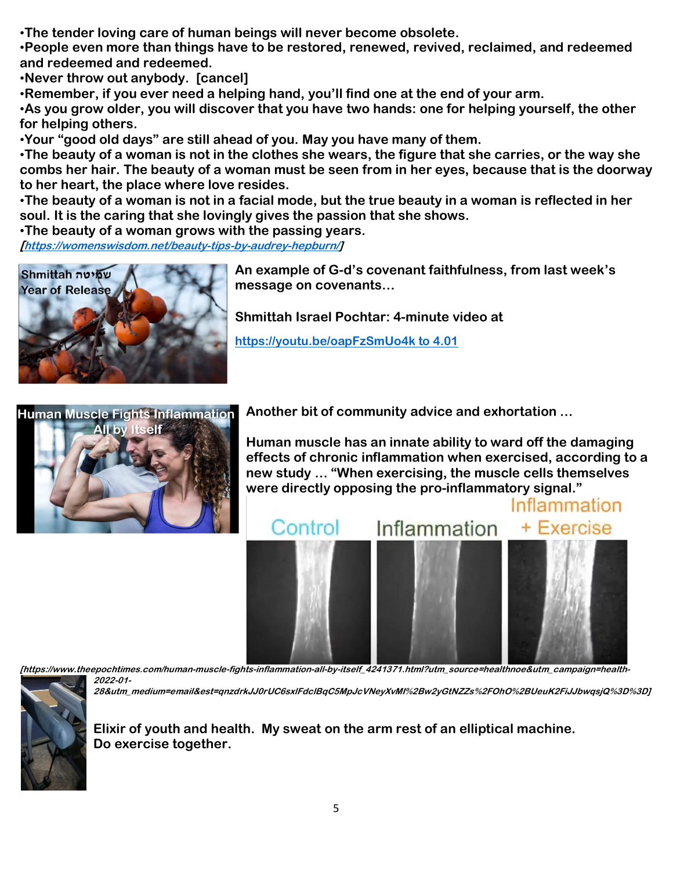•**The tender loving care of human beings will never become obsolete.** 

•**People even more than things have to be restored, renewed, revived, reclaimed, and redeemed and redeemed and redeemed.** 

•**Never throw out anybody. [cancel]** 

•**Remember, if you ever need a helping hand, you'll find one at the end of your arm.** 

•**As you grow older, you will discover that you have two hands: one for helping yourself, the other for helping others.** 

•**Your "good old days" are still ahead of you. May you have many of them.** 

•**The beauty of a woman is not in the clothes she wears, the figure that she carries, or the way she combs her hair. The beauty of a woman must be seen from in her eyes, because that is the doorway to her heart, the place where love resides.** 

•**The beauty of a woman is not in a facial mode, but the true beauty in a woman is reflected in her soul. It is the caring that she lovingly gives the passion that she shows.** 

•**The beauty of a woman grows with the passing years.**

**[https://womenswisdom.net/beauty-tips-by-audrey-hepburn/]** 



**An example of G-d's covenant faithfulness, from last week's message on covenants…** 

**Shmittah Israel Pochtar: 4-minute video at** 

**https://youtu.be/oapFzSmUo4k to 4.01** 



**Another bit of community advice and exhortation …** 

**Human muscle has an innate ability to ward off the damaging effects of chronic inflammation when exercised, according to a new study … "When exercising, the muscle cells themselves were directly opposing the pro-inflammatory signal."** 



**[https://www.theepochtimes.com/human-muscle-fights-inflammation-all-by-itself\_4241371.html?utm\_source=healthnoe&utm\_campaign=health-2022-01-**

**28&utm\_medium=email&est=qnzdrkJJ0rUC6sxlFdclBqC5MpJcVNeyXvMI%2Bw2yGtNZZs%2FOhO%2BUeuK2FiJJbwqsjQ%3D%3D]** 



**Elixir of youth and health. My sweat on the arm rest of an elliptical machine. Do exercise together.**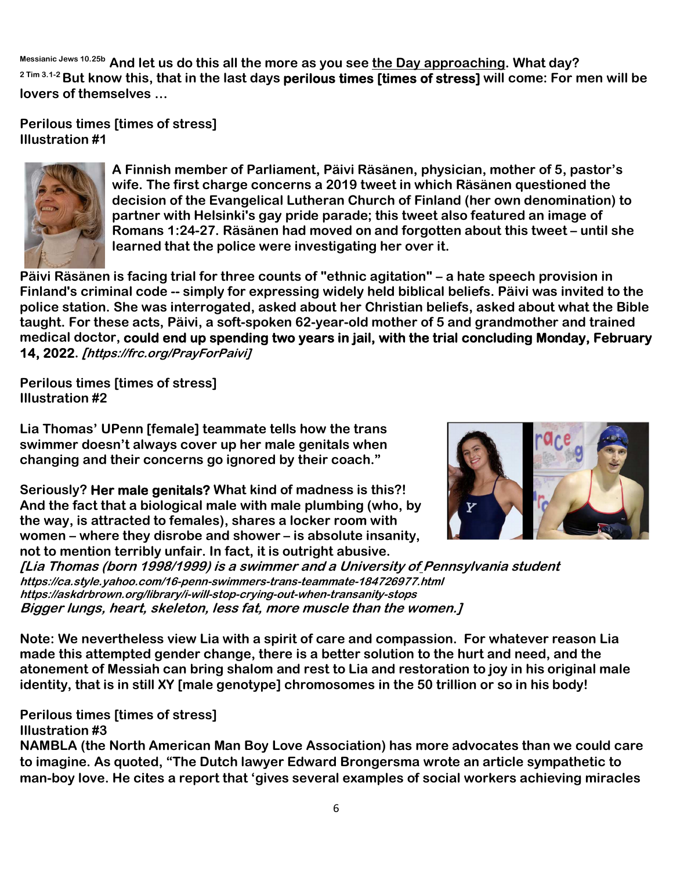**Messianic Jews 10.25b And let us do this all the more as you see the Day approaching. What day? 2 Tim 3.1-2 But know this, that in the last days perilous times [times of stress] will come: For men will be lovers of themselves …** 

**Perilous times [times of stress] Illustration #1** 



**A Finnish member of Parliament, Päivi Räsänen, physician, mother of 5, pastor's wife. The first charge concerns a 2019 tweet in which Räsänen questioned the decision of the Evangelical Lutheran Church of Finland (her own denomination) to partner with Helsinki's gay pride parade; this tweet also featured an image of Romans 1:24-27. Räsänen had moved on and forgotten about this tweet – until she learned that the police were investigating her over it.** 

**Päivi Räsänen is facing trial for three counts of "ethnic agitation" – a hate speech provision in Finland's criminal code -- simply for expressing widely held biblical beliefs. Päivi was invited to the police station. She was interrogated, asked about her Christian beliefs, asked about what the Bible taught. For these acts, Päivi, a soft-spoken 62-year-old mother of 5 and grandmother and trained medical doctor, could end up spending two years in jail, with the trial concluding Monday, February 14, 2022. [https://frc.org/PrayForPaivi]**

**Perilous times [times of stress] Illustration #2** 

**Lia Thomas' UPenn [female] teammate tells how the trans swimmer doesn't always cover up her male genitals when changing and their concerns go ignored by their coach."** 

**Seriously? Her male genitals? What kind of madness is this?! And the fact that a biological male with male plumbing (who, by the way, is attracted to females), shares a locker room with women – where they disrobe and shower – is absolute insanity, not to mention terribly unfair. In fact, it is outright abusive.** 



**[Lia Thomas (born 1998/1999) is a swimmer and a University of Pennsylvania student https://ca.style.yahoo.com/16-penn-swimmers-trans-teammate-184726977.html https://askdrbrown.org/library/i-will-stop-crying-out-when-transanity-stops Bigger lungs, heart, skeleton, less fat, more muscle than the women.]** 

**Note: We nevertheless view Lia with a spirit of care and compassion. For whatever reason Lia made this attempted gender change, there is a better solution to the hurt and need, and the atonement of Messiah can bring shalom and rest to Lia and restoration to joy in his original male identity, that is in still XY [male genotype] chromosomes in the 50 trillion or so in his body!** 

**Perilous times [times of stress] Illustration #3** 

**NAMBLA (the North American Man Boy Love Association) has more advocates than we could care to imagine. As quoted, "The Dutch lawyer Edward Brongersma wrote an article sympathetic to man-boy love. He cites a report that 'gives several examples of social workers achieving miracles**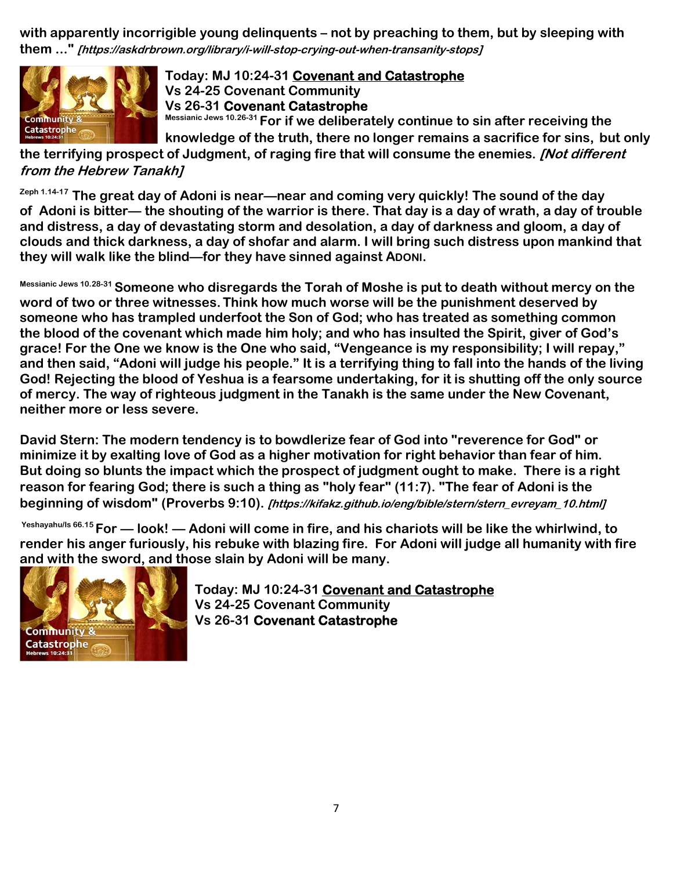**with apparently incorrigible young delinquents – not by preaching to them, but by sleeping with them ..." [https://askdrbrown.org/library/i-will-stop-crying-out-when-transanity-stops]**



# **Today: MJ 10:24-31 Covenant and Catastrophe Vs 24-25 Covenant Community Vs 26-31 Covenant Catastrophe**

**Messianic Jews 10.26-31 For if we deliberately continue to sin after receiving the** 

**knowledge of the truth, there no longer remains a sacrifice for sins, but only the terrifying prospect of Judgment, of raging fire that will consume the enemies. [Not different from the Hebrew Tanakh]**

**Zeph 1.14-17 The great day of Adoni is near—near and coming very quickly! The sound of the day of Adoni is bitter— the shouting of the warrior is there. That day is a day of wrath, a day of trouble and distress, a day of devastating storm and desolation, a day of darkness and gloom, a day of clouds and thick darkness, a day of shofar and alarm. I will bring such distress upon mankind that they will walk like the blind—for they have sinned against ADONI.** 

**Messianic Jews 10.28-31 Someone who disregards the Torah of Moshe is put to death without mercy on the word of two or three witnesses.Think how much worse will be the punishment deserved by someone who has trampled underfoot the Son of God; who has treated as something common the blood of the covenant which made him holy; and who has insulted the Spirit, giver of God's grace! For the One we know is the One who said, "Vengeance is my responsibility; I will repay," and then said, "Adoni will judge his people." It is a terrifying thing to fall into the hands of the living God! Rejecting the blood of Yeshua is a fearsome undertaking, for it is shutting off the only source of mercy. The way of righteous judgment in the Tanakh is the same under the New Covenant, neither more or less severe.** 

**David Stern: The modern tendency is to bowdlerize fear of God into "reverence for God" or minimize it by exalting love of God as a higher motivation for right behavior than fear of him. But doing so blunts the impact which the prospect of judgment ought to make. There is a right reason for fearing God; there is such a thing as "holy fear" (11:7). "The fear of Adoni is the beginning of wisdom" (Proverbs 9:10). [https://kifakz.github.io/eng/bible/stern/stern\_evreyam\_10.html]** 

 **Yeshayahu/Is 66.15 For — look! — Adoni will come in fire, and his chariots will be like the whirlwind, to render his anger furiously, his rebuke with blazing fire. For Adoni will judge all humanity with fire and with the sword, and those slain by Adoni will be many.** 



**Today: MJ 10:24-31 Covenant and Catastrophe Vs 24-25 Covenant Community Vs 26-31 Covenant Catastrophe**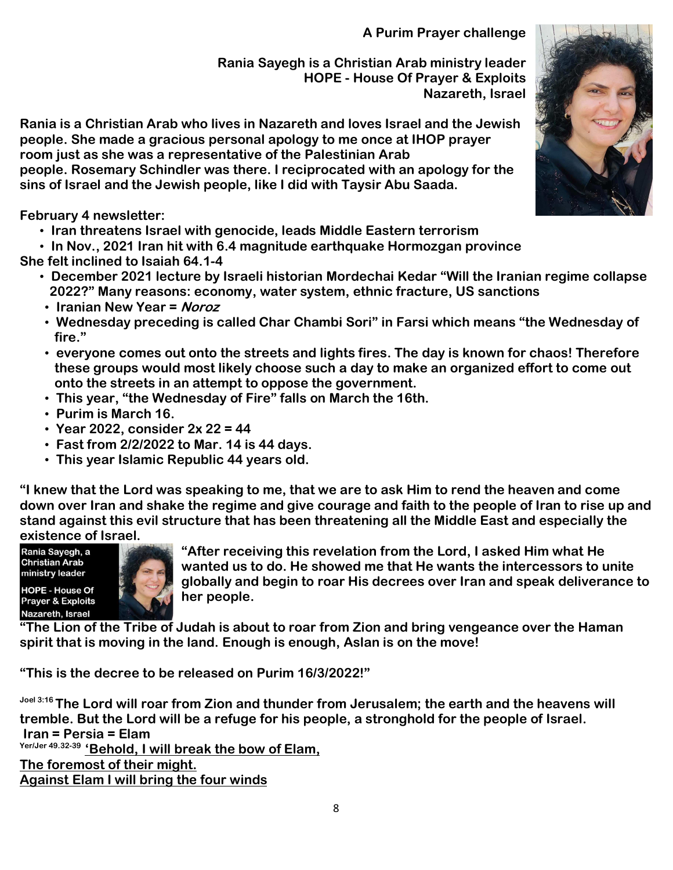**A Purim Prayer challenge** 

**Rania Sayegh is a Christian Arab ministry leader HOPE - House Of Prayer & Exploits Nazareth, Israel** 

**Rania is a Christian Arab who lives in Nazareth and loves Israel and the Jewish people. She made a gracious personal apology to me once at IHOP prayer room just as she was a representative of the Palestinian Arab people. Rosemary Schindler was there. I reciprocated with an apology for the sins of Israel and the Jewish people, like I did with Taysir Abu Saada.** 

**February 4 newsletter:** 

- • **Iran threatens Israel with genocide, leads Middle Eastern terrorism**
- • **In Nov., 2021 Iran hit with 6.4 magnitude earthquake Hormozgan province**
- **She felt inclined to Isaiah 64.1-4** 
	- • **December 2021 lecture by Israeli historian Mordechai Kedar "Will the Iranian regime collapse 2022?" Many reasons: economy, water system, ethnic fracture, US sanctions**
	- • **Iranian New Year = Noroz**
	- • **Wednesday preceding is called Char Chambi Sori" in Farsi which means "the Wednesday of fire."**
	- • **everyone comes out onto the streets and lights fires. The day is known for chaos! Therefore these groups would most likely choose such a day to make an organized effort to come out onto the streets in an attempt to oppose the government.**
	- • **This year, "the Wednesday of Fire" falls on March the 16th.**
	- • **Purim is March 16.**
	- • **Year 2022, consider 2x 22 = 44**
	- • **Fast from 2/2/2022 to Mar. 14 is 44 days.**
	- • **This year Islamic Republic 44 years old.**

**"I knew that the Lord was speaking to me, that we are to ask Him to rend the heaven and come down over Iran and shake the regime and give courage and faith to the people of Iran to rise up and stand against this evil structure that has been threatening all the Middle East and especially the existence of Israel.**<br>
Rania Sayegh, a<br>
Christian Arab

ministry leader



**"After receiving this revelation from the Lord, I asked Him what He wanted us to do. He showed me that He wants the intercessors to unite globally and begin to roar His decrees over Iran and speak deliverance to her people.** 

**"The Lion of the Tribe of Judah is about to roar from Zion and bring vengeance over the Haman spirit that is moving in the land. Enough is enough, Aslan is on the move!** 

**"This is the decree to be released on Purim 16/3/2022!"** 

**Joel 3:16 The Lord will roar from Zion and thunder from Jerusalem; the earth and the heavens will tremble. But the Lord will be a refuge for his people, a stronghold for the people of Israel. Iran = Persia = Elam Yer/Jer 49.32-39 'Behold, I will break the bow of Elam, The foremost of their might. Against Elam I will bring the four winds**